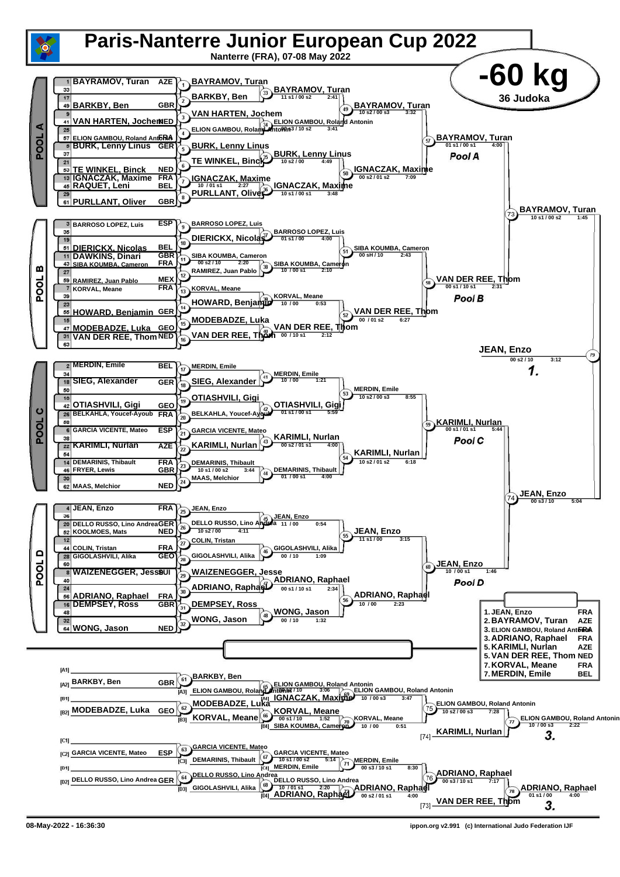

**08-May-2022 - 16:36:30 ippon.org v2.991 (c) International Judo Federation IJF**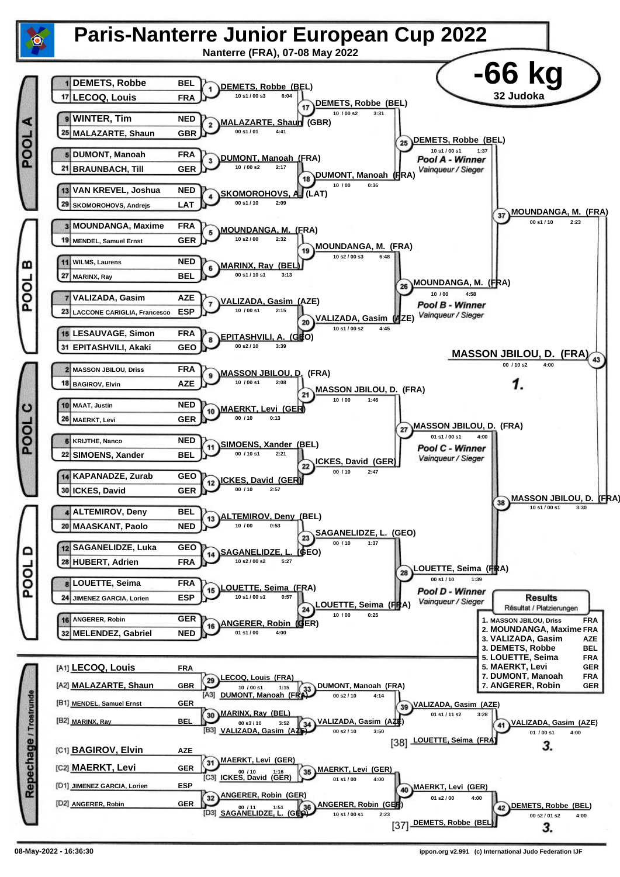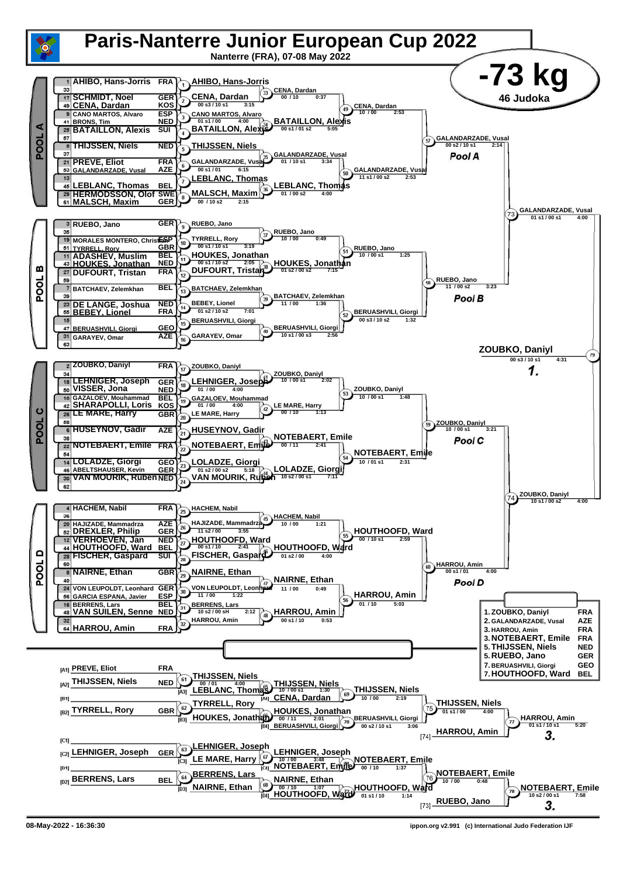

**<sup>08-</sup>May-2022 - 16:36:30 ippon.org v2.991 (c) International Judo Federation IJF**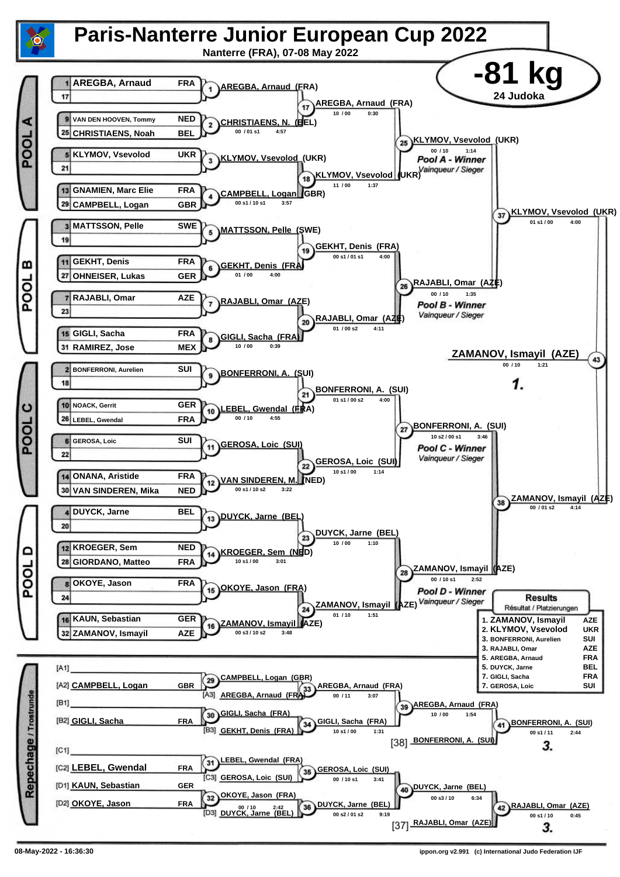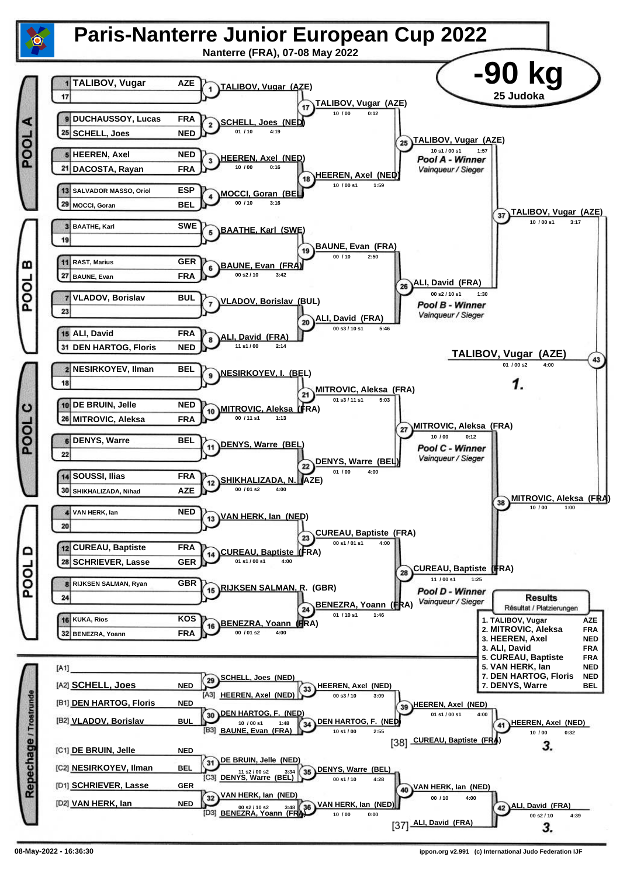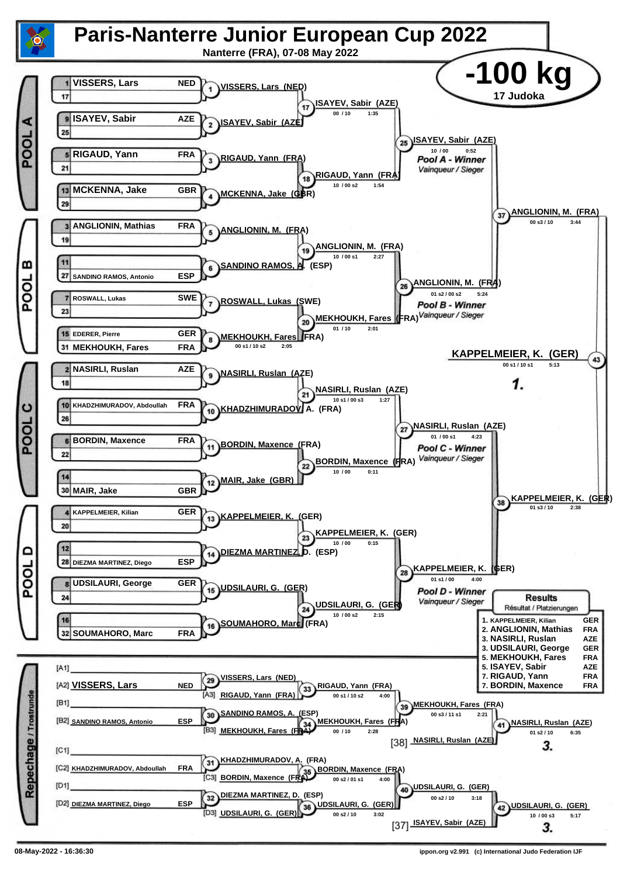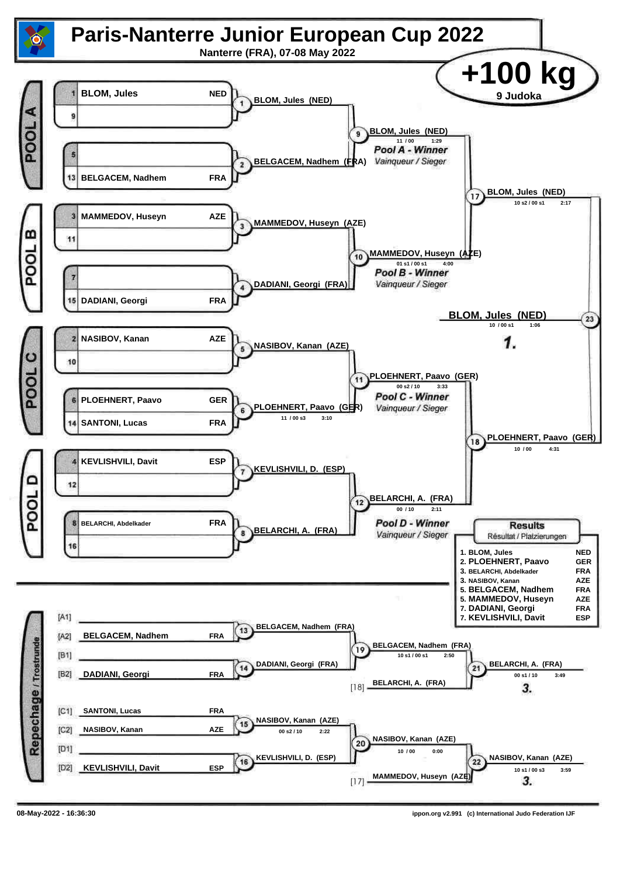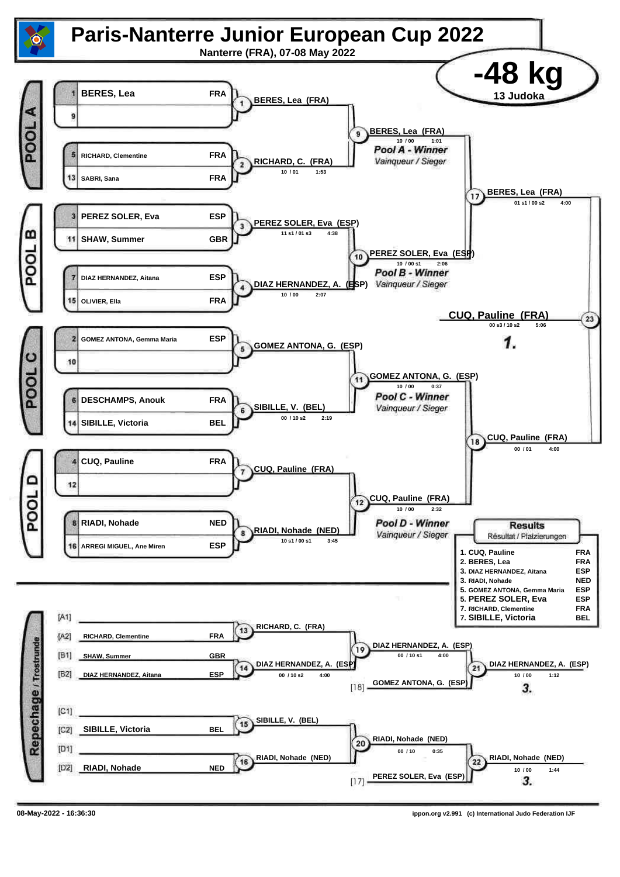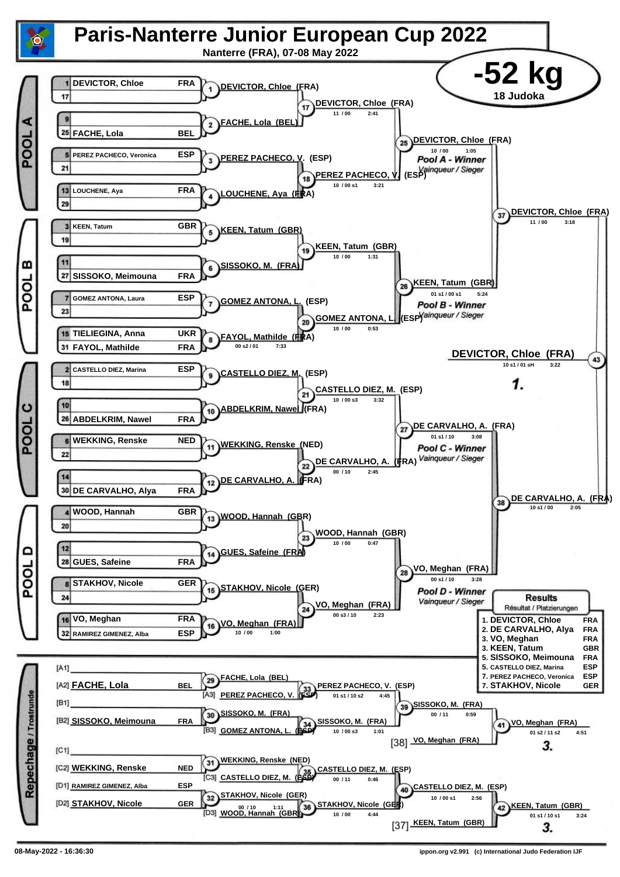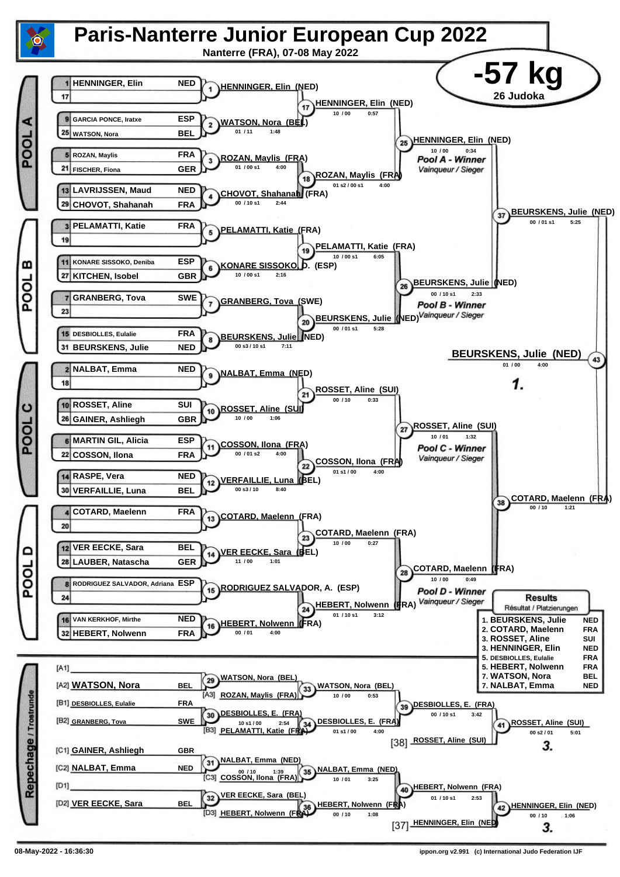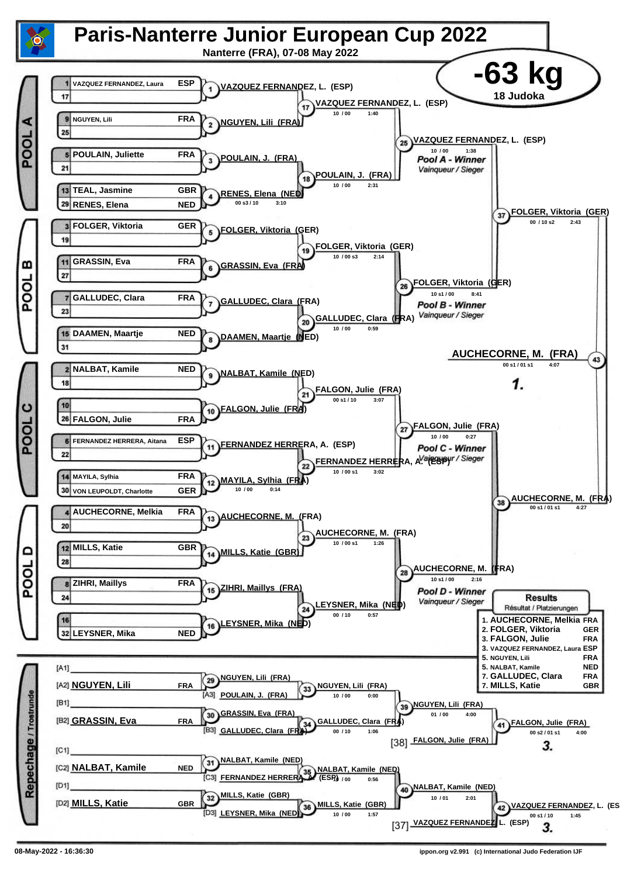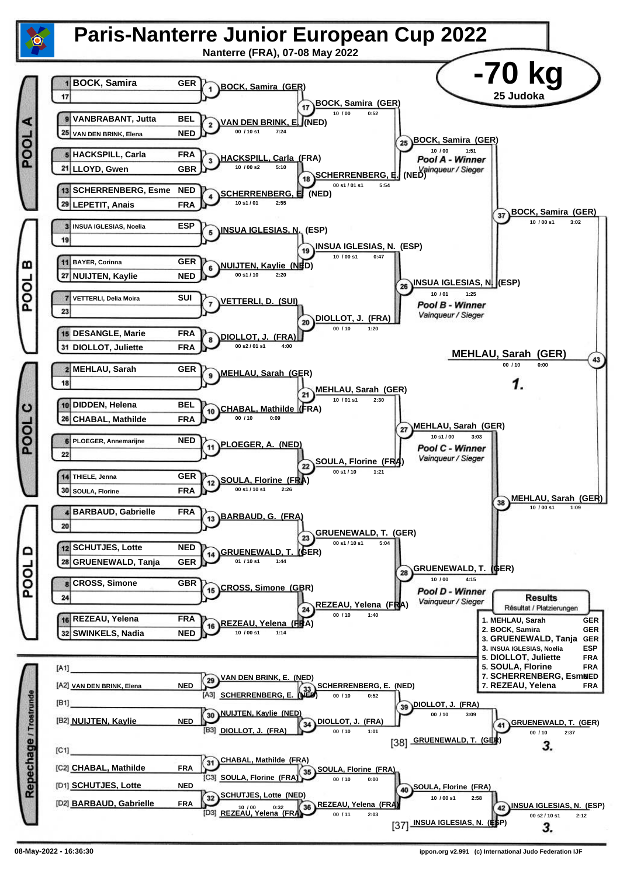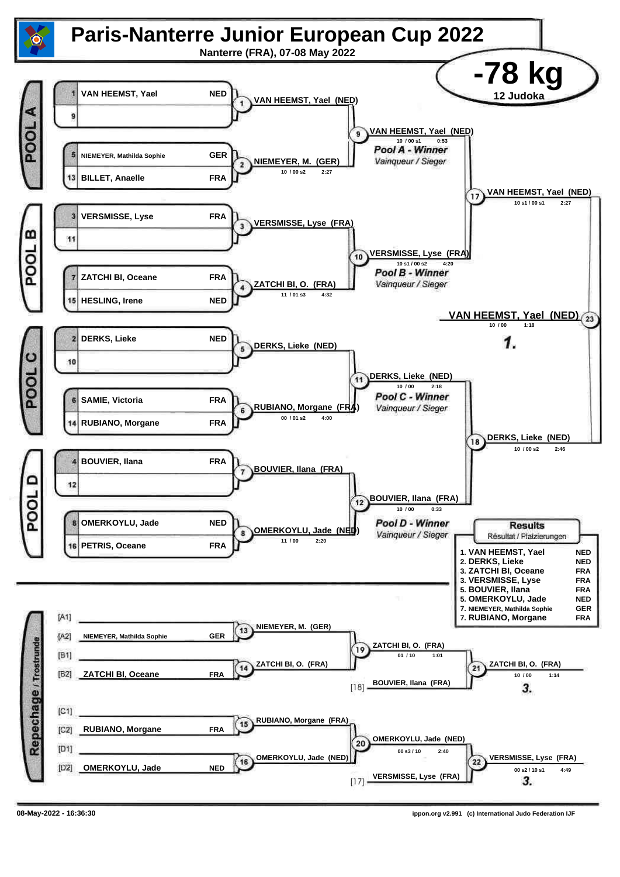